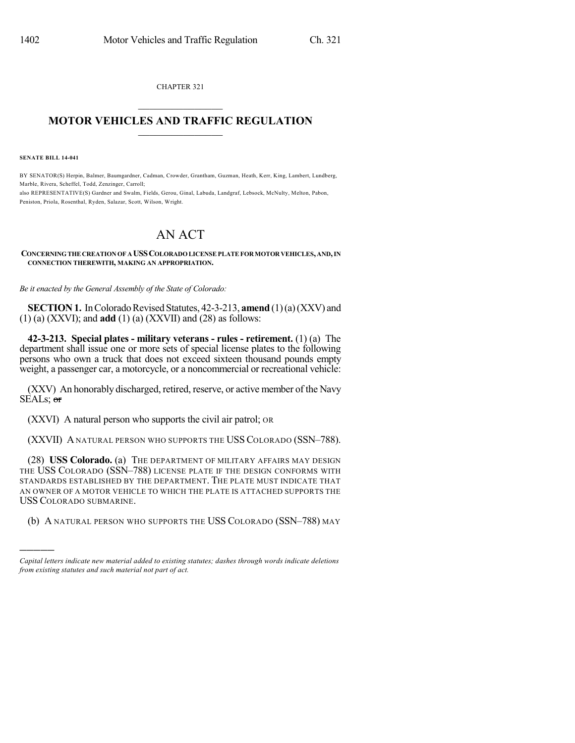CHAPTER 321  $\overline{\phantom{a}}$  . The set of the set of the set of the set of the set of the set of the set of the set of the set of the set of the set of the set of the set of the set of the set of the set of the set of the set of the set o

## **MOTOR VEHICLES AND TRAFFIC REGULATION**  $\frac{1}{2}$  ,  $\frac{1}{2}$  ,  $\frac{1}{2}$  ,  $\frac{1}{2}$  ,  $\frac{1}{2}$  ,  $\frac{1}{2}$  ,  $\frac{1}{2}$

**SENATE BILL 14-041**

)))))

BY SENATOR(S) Herpin, Balmer, Baumgardner, Cadman, Crowder, Grantham, Guzman, Heath, Kerr, King, Lambert, Lundberg, Marble, Rivera, Scheffel, Todd, Zenzinger, Carroll; also REPRESENTATIVE(S) Gardner and Swalm, Fields, Gerou, Ginal, Labuda, Landgraf, Lebsock, McNulty, Melton, Pabon, Peniston, Priola, Rosenthal, Ryden, Salazar, Scott, Wilson, Wright.

## AN ACT

## **CONCERNINGTHECREATIONOF A USSCOLORADOLICENSEPLATEFORMOTORVEHICLES,AND,IN CONNECTION THEREWITH, MAKING AN APPROPRIATION.**

*Be it enacted by the General Assembly of the State of Colorado:*

**SECTION 1.** In Colorado Revised Statutes, 42-3-213, **amend** (1)(a)(XXV) and (1) (a) (XXVI); and **add** (1) (a) (XXVII) and (28) as follows:

**42-3-213. Special plates - military veterans - rules - retirement.** (1) (a) The department shall issue one or more sets of special license plates to the following persons who own a truck that does not exceed sixteen thousand pounds empty weight, a passenger car, a motorcycle, or a noncommercial or recreational vehicle:

(XXV) An honorably discharged, retired, reserve, or active member of the Navy SEALs; or

(XXVI) A natural person who supports the civil air patrol; OR

(XXVII) A NATURAL PERSON WHO SUPPORTS THE USS COLORADO (SSN-788).

(28) **USS Colorado.** (a) THE DEPARTMENT OF MILITARY AFFAIRS MAY DESIGN THE USS COLORADO (SSN–788) LICENSE PLATE IF THE DESIGN CONFORMS WITH STANDARDS ESTABLISHED BY THE DEPARTMENT. THE PLATE MUST INDICATE THAT AN OWNER OF A MOTOR VEHICLE TO WHICH THE PLATE IS ATTACHED SUPPORTS THE USS COLORADO SUBMARINE.

(b) A NATURAL PERSON WHO SUPPORTS THE USS COLORADO (SSN–788) MAY

*Capital letters indicate new material added to existing statutes; dashes through words indicate deletions from existing statutes and such material not part of act.*